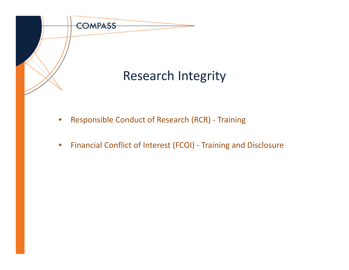

- $\bullet$ Responsible Conduct of Research (RCR) ‐ Training
- $\bullet$ Financial Conflict of Interest (FCOI) ‐ Training and Disclosure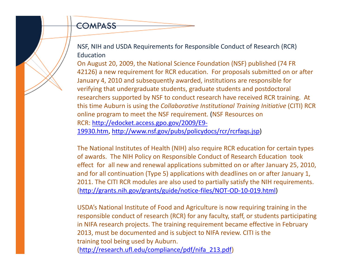## COMPASS

NSF, NIH and USDA Requirements for Responsible Conduct of Research (RCR) **Education** 

On August 20, 2009, the National Science Foundation (NSF) published (74 FR 42126) <sup>a</sup> new requirement for RCR education. For proposals submitted on or after January 4, 2010 and subsequently awarded, institutions are responsible for verifying that undergraduate students, graduate students and postdoctoral researchers supported by NSF to conduct research have received RCR training. At this time Auburn is using the *Collaborative Institutional Training Initiative* (CITI) RCR online program to meet the NSF requirement. (NSF Resources on RCR: http://edocket.access.gpo.gov/2009/E9‐ 19930.htm, http://www.nsf.gov/pubs/policydocs/rcr/rcrfaqs.jsp)

The National Institutes of Health (NIH) also require RCR education for certain types of awards. The NIH Policy on Responsible Conduct of Research Education took effect for all new and renewal applications submitted on or after January 25, 2010, and for all continuation (Type 5) applications with deadlines on or after January 1, 2011. The CITI RCR modules are also used to partially satisfy the NIH requirements. (http://grants.nih.gov/grants/guide/notice‐files/NOT‐OD‐10‐019.html)

USDA's National Institute of Food and Agriculture is now requiring training in the responsible conduct of research (RCR) for any faculty, staff, or students participating in NIFA research projects. The training requirement became effective in February 2013, must be documented and is subject to NIFA review. CITI is the training tool being used by Auburn. (http://research.ufl.edu/compliance/pdf/nifa\_213.pdf)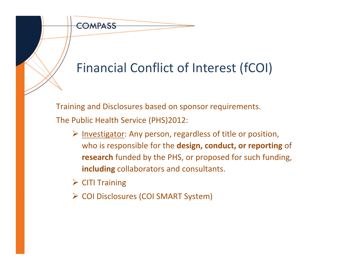

Training and Disclosures based on sponsor requirements. The Public Health Service (PHS)2012:

- $\triangleright$  Investigator: Any person, regardless of title or position, who is responsible for the **design, conduct, or reporting** of **research** funded by the PHS, or proposed for such funding, **including** collaborators and consultants.
- $\triangleright$  CITI Training

COMPASS

COI Disclosures (COI SMART System)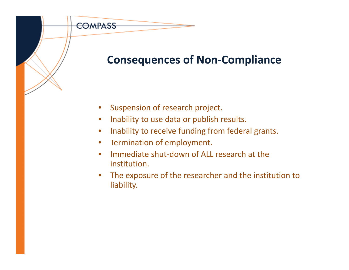## **Consequences of Non‐Compliance**

 $\bullet$ Suspension of research project.

COMPASS

- $\bullet$ Inability to use data or publish results.
- $\bullet$ Inability to receive funding from federal grants.
- •**•** Termination of employment.
- $\bullet$ ● Immediate shut-down of ALL research at the institution.
- $\bullet$  The exposure of the researcher and the institution to liability.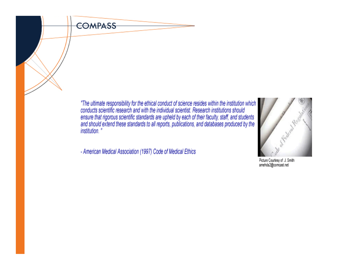

"The ultimate responsibility for the ethical conduct of science resides within the institution which conducts scientific research and with the individual scientist. Research institutions should ensure that rigorous scienti institution."

- American Medical Association (1997) Code of Medical Ethics



Picture Courtesy of: J. Smith<br>amehda2@comcast.net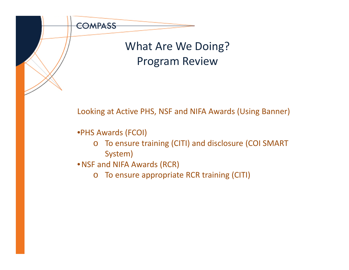